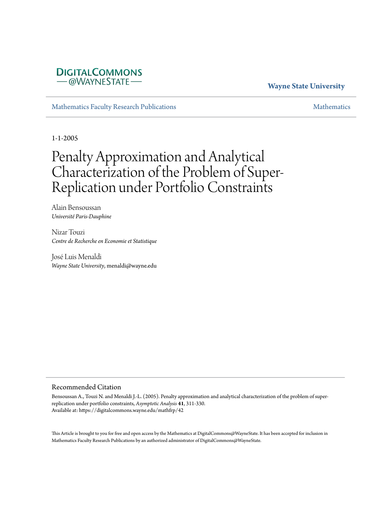## **DIGITALCOMMONS** -@WAYNESTATE-

## **Wayne State University**

[Mathematics Faculty Research Publications](https://digitalcommons.wayne.edu/mathfrp) and the mathematics of the [Mathematics](https://digitalcommons.wayne.edu/math) Mathematics Mathematics of the Mathematics of the Mathematics of the Mathematics of the Mathematics of the Mathematics of the Mathematics of

1-1-2005

# Penalty Approximation and Analytical Characterization of the Problem of Super-Replication under Portfolio Constraints

Alain Bensoussan *Université Paris-Dauphine*

Nizar Touzi *Centre de Recherche en Economie et Statistique*

José Luis Menaldi *Wayne State University*, menaldi@wayne.edu

#### Recommended Citation

Bensoussan A., Touzi N. and Menaldi J.-L. (2005). Penalty approximation and analytical characterization of the problem of superreplication under portfolio constraints, *Asymptotic Analysis* **41**, 311-330. Available at: https://digitalcommons.wayne.edu/mathfrp/42

This Article is brought to you for free and open access by the Mathematics at DigitalCommons@WayneState. It has been accepted for inclusion in Mathematics Faculty Research Publications by an authorized administrator of DigitalCommons@WayneState.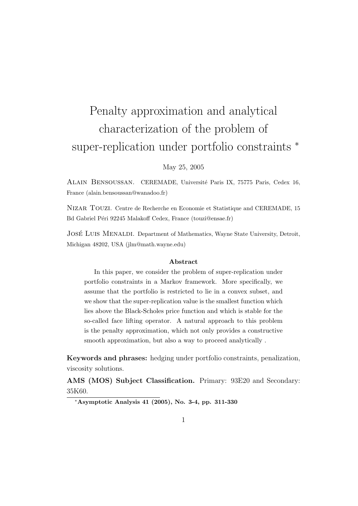# Penalty approximation and analytical characterization of the problem of super-replication under portfolio constraints *<sup>∗</sup>*

#### May 25, 2005

ALAIN BENSOUSSAN. CEREMADE, Université Paris IX, 75775 Paris, Cedex 16, France (alain.bensoussan@wanadoo.fr)

Nizar Touzi. Centre de Recherche en Economie et Statistique and CEREMADE, 15 Bd Gabriel Péri 92245 Malakoff Cedex, France (touzi@ensae.fr)

JOSÉ LUIS MENALDI. Department of Mathematics, Wayne State University, Detroit, Michigan 48202, USA (jlm@math.wayne.edu)

#### **Abstract**

In this paper, we consider the problem of super-replication under portfolio constraints in a Markov framework. More specifically, we assume that the portfolio is restricted to lie in a convex subset, and we show that the super-replication value is the smallest function which lies above the Black-Scholes price function and which is stable for the so-called face lifting operator. A natural approach to this problem is the penalty approximation, which not only provides a constructive smooth approximation, but also a way to proceed analytically .

**Keywords and phrases:** hedging under portfolio constraints, penalization, viscosity solutions.

**AMS (MOS) Subject Classification.** Primary: 93E20 and Secondary: 35K60.

*<sup>∗</sup>***Asymptotic Analysis 41 (2005), No. 3-4, pp. 311-330**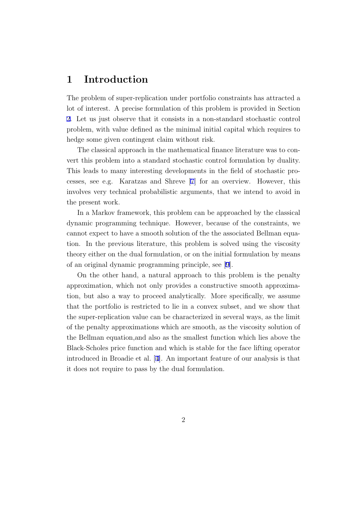## **1 Introduction**

The problem of super-replication under portfolio constraints has attracted a lot of interest. A precise formulation of this problem is provided in Section [2.](#page-3-0) Let us just observe that it consists in a non-standard stochastic control problem, with value defined as the minimal initial capital which requires to hedge some given contingent claim without risk.

The classical approach in the mathematical finance literature was to convert this problem into a standard stochastic control formulation by duality. This leads to many interesting developments in the field of stochastic processes, see e.g. Karatzas and Shreve [\[7](#page-28-0)] for an overview. However, this involves very technical probabilistic arguments, that we intend to avoid in the present work.

In a Markov framework, this problem can be approached by the classical dynamic programming technique. However, because of the constraints, we cannot expect to have a smooth solution of the the associated Bellman equation. In the previous literature, this problem is solved using the viscosity theory either on the dual formulation, or on the initial formulation by means of an original dynamic programming principle, see [[9](#page-29-0)].

On the other hand, a natural approach to this problem is the penalty approximation, which not only provides a constructive smooth approximation, but also a way to proceed analytically. More specifically, we assume that the portfolio is restricted to lie in a convex subset, and we show that the super-replication value can be characterized in several ways, as the limit of the penalty approximations which are smooth, as the viscosity solution of the Bellman equation,and also as the smallest function which lies above the Black-Scholes price function and which is stable for the face lifting operator introduced in Broadie et al. [\[4](#page-28-0)]. An important feature of our analysis is that it does not require to pass by the dual formulation.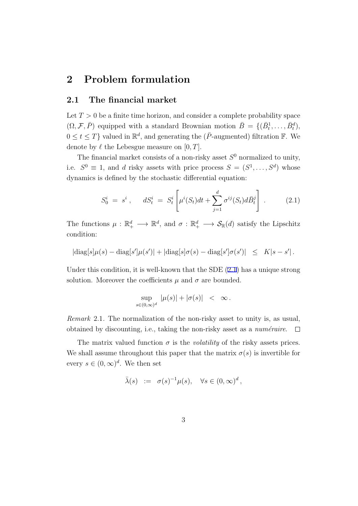## <span id="page-3-0"></span>**2 Problem formulation**

#### **2.1 The financial market**

Let  $T > 0$  be a finite time horizon, and consider a complete probability space  $(\Omega, \mathcal{F}, \overline{P})$  equipped with a standard Brownian motion  $\overline{B} = \{(\overline{B}_t^1, \ldots, \overline{B}_t^d),\}$  $0 \le t \le T$ } valued in  $\mathbb{R}^d$ , and generating the ( $\overline{P}$ -augmented) filtration  $\mathbb{F}$ . We denote by  $\ell$  the Lebesgue measure on  $[0, T]$ .

The financial market consists of a non-risky asset *S* <sup>0</sup> normalized to unity, i.e.  $S^0 \equiv 1$ , and *d* risky assets with price process  $S = (S^1, \ldots, S^d)$  whose dynamics is defined by the stochastic differential equation:

$$
S_0^i = s^i , \quad dS_t^i = S_t^i \left[ \mu^i(S_t) dt + \sum_{j=1}^d \sigma^{ij}(S_t) d\bar{B}_t^j \right] . \tag{2.1}
$$

The functions  $\mu : \mathbb{R}_+^d \longrightarrow \mathbb{R}^d$ , and  $\sigma : \mathbb{R}_+^d \longrightarrow \mathcal{S}_{\mathbb{R}}(d)$  satisfy the Lipschitz condition:

$$
|\text{diag}[s]\mu(s) - \text{diag}[s']\mu(s')| + |\text{diag}[s]\sigma(s) - \text{diag}[s']\sigma(s')| \leq K|s - s'|.
$$

Under this condition, it is well-known that the SDE  $(2.1)$  has a unique strong solution. Moreover the coefficients  $\mu$  and  $\sigma$  are bounded.

$$
\sup_{s\in(0,\infty)^d} |\mu(s)| + |\sigma(s)| \ < \ \infty \, .
$$

*Remark* 2.1*.* The normalization of the non-risky asset to unity is, as usual, obtained by discounting, i.e., taking the non-risky asset as a *numéraire*.  $\Box$ 

The matrix valued function  $\sigma$  is the *volatility* of the risky assets prices. We shall assume throughout this paper that the matrix  $\sigma(s)$  is invertible for every  $s \in (0, \infty)^d$ . We then set

$$
\bar{\lambda}(s) \ := \ \sigma(s)^{-1} \mu(s), \quad \forall s \in (0,\infty)^d \,,
$$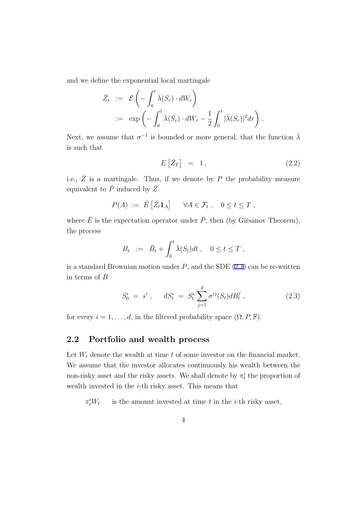and we define the exponential local martingale

$$
\bar{Z}_t := \mathcal{E}\left(-\int_0^t \bar{\lambda}(S_r) \cdot dW_r\right)
$$
  
 :=  $\exp\left(-\int_0^t \bar{\lambda}(S_r) \cdot dW_r - \frac{1}{2} \int_0^t |\bar{\lambda}(S_r)|^2 dr\right).$ 

Next, we assume that  $\sigma^{-1}$  is bounded or more general, that the function  $\bar{\lambda}$ is such that

$$
E\left[\bar{Z}_T\right] = 1, \tag{2.2}
$$

i.e.,  $\bar{Z}$  is a martingale. Thus, if we denote by  $P$  the probability measure equivalent to  $\bar{P}$  induced by  $\bar{Z}$ 

$$
P(A) := \bar{E} \left[ \bar{Z}_t \mathbf{1}_A \right] \quad \forall A \in \mathcal{F}_t , \quad 0 \le t \le T ,
$$

where  $\bar{E}$  is the expectation operator under  $\bar{P}$ , then (by Girsanov Theorem), the process

$$
B_t \ := \ \bar{B}_t + \int_0^t \bar{\lambda}(S_t) dt \ , \quad 0 \leq t \leq T \ ,
$$

is a standard Brownian motion under  $P$ , and the SDE  $(2.1)$  $(2.1)$  can be re-written in terms of *B*

$$
S_0^i = s^i , \quad dS_t^i = S_t^i \sum_{j=1}^d \sigma^{ij}(S_t) dB_t^j , \qquad (2.3)
$$

for every  $i = 1, \ldots, d$ , in the filtered probability space  $(\Omega, P, \mathbb{F})$ .

## **2.2 Portfolio and wealth process**

Let  $W_t$  denote the wealth at time  $t$  of some investor on the financial market. We assume that the investor allocates continuously his wealth between the non-risky asset and the risky assets. We shall denote by  $\pi_t^i$  the proportion of wealth invested in the *i*-th risky asset. This means that

 $\pi_t^i W_t$ is the amount invested at time *t* in the *i*-th risky asset,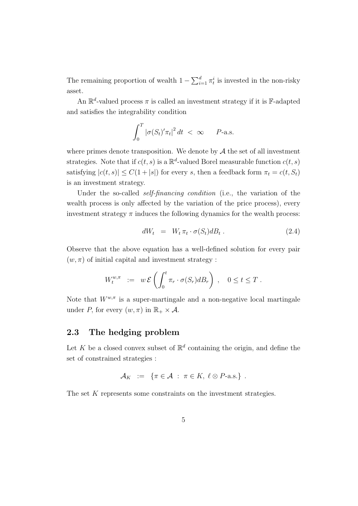<span id="page-5-0"></span>The remaining proportion of wealth  $1 - \sum_{i=1}^{d} \pi_t^i$  is invested in the non-risky asset.

An  $\mathbb{R}^d$ -valued process  $\pi$  is called an investment strategy if it is F-adapted and satisfies the integrability condition

$$
\int_0^T |\sigma(S_t)' \pi_t|^2 dt < \infty \quad P\text{-a.s.}
$$

where primes denote transposition. We denote by  $A$  the set of all investment strategies. Note that if  $c(t, s)$  is a  $\mathbb{R}^d$ -valued Borel measurable function  $c(t, s)$ satisfying  $|c(t, s)| \leq C(1 + |s|)$  for every *s*, then a feedback form  $\pi_t = c(t, S_t)$ is an investment strategy.

Under the so-called *self-financing condition* (i.e., the variation of the wealth process is only affected by the variation of the price process), every investment strategy  $\pi$  induces the following dynamics for the wealth process:

$$
dW_t = W_t \pi_t \cdot \sigma(S_t) dB_t . \qquad (2.4)
$$

Observe that the above equation has a well-defined solution for every pair  $(w, \pi)$  of initial capital and investment strategy :

$$
W_t^{w,\pi} := w \mathcal{E}\left(\int_0^t \pi_r \cdot \sigma(S_r) dB_r\right), \quad 0 \le t \le T.
$$

Note that  $W^{w,\pi}$  is a super-martingale and a non-negative local martingale under *P*, for every  $(w, \pi)$  in  $\mathbb{R}_+ \times \mathcal{A}$ .

## **2.3 The hedging problem**

Let *K* be a closed convex subset of  $\mathbb{R}^d$  containing the origin, and define the set of constrained strategies :

$$
\mathcal{A}_K := \{ \pi \in \mathcal{A} : \pi \in K, \ell \otimes P\text{-a.s.} \} .
$$

The set *K* represents some constraints on the investment strategies.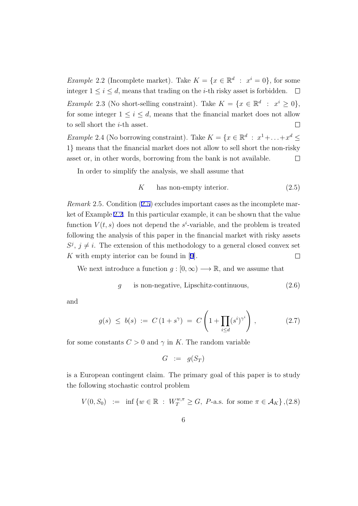<span id="page-6-0"></span>*Example* 2.2 (Incomplete market). Take  $K = \{x \in \mathbb{R}^d : x^i = 0\}$ , for some integer  $1 \leq i \leq d$ , means that trading on the *i*-th risky asset is forbidden.  $\Box$ *Example* 2.3 (No short-selling constraint). Take  $K = \{x \in \mathbb{R}^d : x^i \ge 0\}$ , for some integer  $1 \leq i \leq d$ , means that the financial market does not allow to sell short the *i*-th asset.  $\Box$ *Example* 2.4 (No borrowing constraint). Take  $K = \{x \in \mathbb{R}^d : x^1 + \ldots + x^d \leq$ 

1*}* means that the financial market does not allow to sell short the non-risky asset or, in other words, borrowing from the bank is not available.  $\Box$ 

In order to simplify the analysis, we shall assume that

$$
K \qquad \text{has non-empty interior.} \tag{2.5}
$$

*Remark* 2.5*.* Condition (2.5) excludes important cases as the incomplete market of Example [2.2](#page-5-0). In this particular example, it can be shown that the value function  $V(t, s)$  does not depend the  $s^i$ -variable, and the problem is treated following the analysis of this paper in the financial market with risky assets  $S^j$ ,  $j \neq i$ . The extension of this methodology to a general closed convex set *K* with empty interior can be found in [\[9](#page-29-0)].  $\Box$ 

We next introduce a function  $g : [0, \infty) \longrightarrow \mathbb{R}$ , and we assume that

$$
g \quad \text{is non-negative, Lipschitz-continuous}, \tag{2.6}
$$

and

$$
g(s) \le b(s) := C (1 + s^{\gamma}) = C \left( 1 + \prod_{i \le d} (s^i)^{\gamma^i} \right), \tag{2.7}
$$

for some constants  $C > 0$  and  $\gamma$  in K. The random variable

$$
G \ := \ g(S_T)
$$

is a European contingent claim. The primary goal of this paper is to study the following stochastic control problem

$$
V(0, S_0) := \inf \{ w \in \mathbb{R} : W_T^{w, \pi} \ge G, \ P\text{-a.s. for some } \pi \in \mathcal{A}_K \}, (2.8)
$$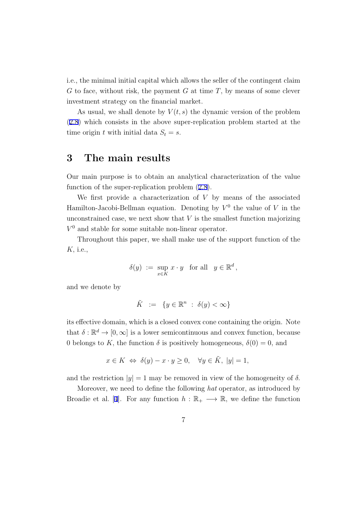i.e., the minimal initial capital which allows the seller of the contingent claim *G* to face, without risk, the payment *G* at time *T*, by means of some clever investment strategy on the financial market.

As usual, we shall denote by  $V(t, s)$  the dynamic version of the problem [\(2.8](#page-6-0)) which consists in the above super-replication problem started at the time origin *t* with initial data  $S_t = s$ .

## **3 The main results**

Our main purpose is to obtain an analytical characterization of the value function of the super-replication problem ([2.8\)](#page-6-0).

We first provide a characterization of *V* by means of the associated Hamilton-Jacobi-Bellman equation. Denoting by  $V^0$  the value of V in the unconstrained case, we next show that *V* is the smallest function majorizing  $V^0$  and stable for some suitable non-linear operator.

Throughout this paper, we shall make use of the support function of the *K,* i.e.,

$$
\delta(y) := \sup_{x \in K} x \cdot y \quad \text{for all} \quad y \in \mathbb{R}^d,
$$

and we denote by

$$
\tilde{K} \ := \ \{ y \in \mathbb{R}^n \ : \ \delta(y) < \infty \}
$$

its effective domain, which is a closed convex cone containing the origin. Note that  $\delta : \mathbb{R}^d \to [0, \infty]$  is a lower semicontinuous and convex function, because 0 belongs to *K*, the function  $\delta$  is positively homogeneous,  $\delta(0) = 0$ , and

$$
x \in K \iff \delta(y) - x \cdot y \ge 0, \quad \forall y \in \tilde{K}, \ |y| = 1,
$$

and the restriction  $|\psi| = 1$  may be removed in view of the homogeneity of  $\delta$ .

Moreover, we need to define the following *hat* operator, as introduced by Broadie et al. [\[4](#page-28-0)]. For any function  $h : \mathbb{R}_+ \longrightarrow \mathbb{R}$ , we define the function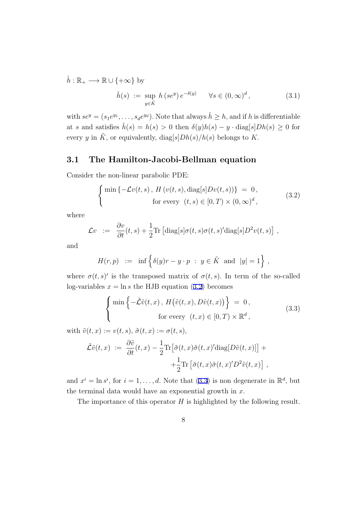<span id="page-8-0"></span> $\hat{h}: \mathbb{R}_+ \longrightarrow \mathbb{R} \cup \{+\infty\}$  by

$$
\hat{h}(s) := \sup_{y \in \tilde{K}} h\left(se^y\right)e^{-\delta(y)} \quad \forall s \in (0, \infty)^d,
$$
\n(3.1)

with  $se^y = (s_1e^{y_1}, \ldots, s_de^{y_d})$ . Note that always  $\hat{h} \geq h$ , and if *h* is differentiable at *s* and satisfies  $\hat{h}(s) = h(s) > 0$  then  $\delta(y)h(s) - y \cdot \text{diag}[s]Dh(s) \geq 0$  for every *y* in  $\tilde{K}$ , or equivalently,  $\text{diag}[s] Dh(s)/h(s)$  belongs to *K*.

#### **3.1 The Hamilton-Jacobi-Bellman equation**

Consider the non-linear parabolic PDE:

$$
\begin{cases}\n\min \{-\mathcal{L}v(t,s), H\left(v(t,s), \text{diag}[s]Dv(t,s)\right)\} = 0, \\
\text{for every } (t,s) \in [0,T) \times (0,\infty)^d,\n\end{cases} \tag{3.2}
$$

where

$$
\mathcal{L}v \ := \ \frac{\partial v}{\partial t}(t,s) + \frac{1}{2} \text{Tr} \left[ \text{diag}[s] \sigma(t,s) \sigma(t,s)' \text{diag}[s] D^2 v(t,s) \right] \,,
$$

and

$$
H(r,p) \ := \ \inf \Big\{ \delta(y)r-y\cdot p \ : \ y\in \tilde{K} \ \text{ and } \ |y|=1 \Big\} \ ,
$$

where  $\sigma(t,s)'$  is the transposed matrix of  $\sigma(t,s)$ . In term of the so-called log-variables  $x = \ln s$  the HJB equation (3.2) becomes

$$
\begin{cases}\n\min \left\{ -\tilde{\mathcal{L}}\tilde{v}(t,x), H(\tilde{v}(t,x), D\tilde{v}(t,x)) \right\} = 0, \\
\text{for every } (t,x) \in [0,T) \times \mathbb{R}^d,\n\end{cases}
$$
\n(3.3)

with  $\tilde{v}(t, x) := v(t, s), \, \tilde{\sigma}(t, x) := \sigma(t, s),$ 

$$
\tilde{\mathcal{L}}\tilde{v}(t,x) := \frac{\partial \tilde{v}}{\partial t}(t,x) - \frac{1}{2} \text{Tr} \left[ \tilde{\sigma}(t,x) \tilde{\sigma}(t,x)' \text{diag}[D\tilde{v}(t,x)] \right] + \n+ \frac{1}{2} \text{Tr} \left[ \tilde{\sigma}(t,x) \tilde{\sigma}(t,x)' D^2 \tilde{v}(t,x) \right],
$$

and  $x^i = \ln s^i$ , for  $i = 1, \ldots, d$ . Note that (3.3) is non degenerate in  $\mathbb{R}^d$ , but the terminal data would have an exponential growth in *x.*

The importance of this operator *H* is highlighted by the following result.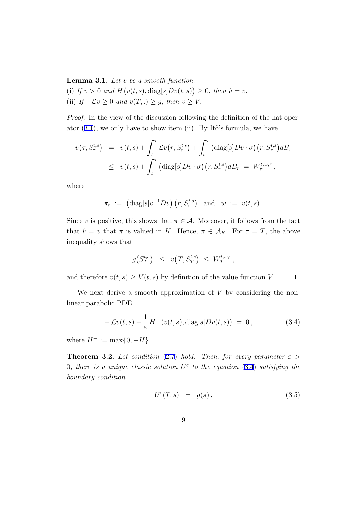<span id="page-9-0"></span>**Lemma 3.1.** *Let v be a smooth function.* (i) If  $v > 0$  and  $H(v(t, s), \text{diag}[s]Dv(t, s)) \geq 0$ , then  $\hat{v} = v$ . (ii) *If*  $−\mathcal{L}v ≥ 0$  *and*  $v(T,.) ≥ g$ , *then*  $v ≥ V$ .

*Proof.* In the view of the discussion following the definition of the hat operator  $(3.1)$  $(3.1)$ , we only have to show item (ii). By Itô's formula, we have

$$
v(\tau, S_{\tau}^{t,s}) = v(t,s) + \int_{t}^{\tau} \mathcal{L}v(r, S_{r}^{t,s}) + \int_{t}^{\tau} (\text{diag}[s]Dv \cdot \sigma)(r, S_{r}^{t,s})dB_{r}
$$
  

$$
\leq v(t,s) + \int_{t}^{\tau} (\text{diag}[s]Dv \cdot \sigma)(r, S_{r}^{t,s})dB_{r} = W_{\tau}^{t,w,\pi},
$$

where

$$
\pi_r := (\text{diag}[s]v^{-1}Dv) (r, S_r^{t,s}) \text{ and } w := v(t, s).
$$

Since *v* is positive, this shows that  $\pi \in \mathcal{A}$ . Moreover, it follows from the fact that  $\hat{v} = v$  that  $\pi$  is valued in *K*. Hence,  $\pi \in \mathcal{A}_K$ . For  $\tau = T$ , the above inequality shows that

$$
g(S_T^{t,s}) \le v(T, S_T^{t,s}) \le W_T^{t,w,\pi},
$$

and therefore  $v(t, s) \geq V(t, s)$  by definition of the value function *V*.  $\Box$ 

We next derive a smooth approximation of *V* by considering the nonlinear parabolic PDE

$$
-\mathcal{L}v(t,s)-\frac{1}{\varepsilon}H^-(v(t,s),\mathrm{diag}[s]Dv(t,s))=0,
$$
\n(3.4)

where  $H^{-} := \max\{0, -H\}.$ 

**Theorem 3.2.** *Let condition* ([2.7\)](#page-6-0) *hold. Then, for every parameter*  $\varepsilon$ 0, there is a unique classic solution  $U^{\varepsilon}$  to the equation (3.4) satisfying the *boundary condition*

$$
U^{\varepsilon}(T,s) = g(s), \qquad (3.5)
$$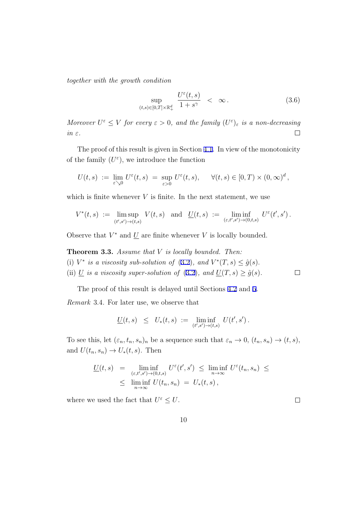<span id="page-10-0"></span>*together with the growth condition*

$$
\sup_{(t,s)\in[0,T]\times\mathbb{R}^d_+} \frac{U^{\varepsilon}(t,s)}{1+s^{\gamma}} < \infty. \tag{3.6}
$$

*Moreover*  $U^{\varepsilon} \leq V$  *for every*  $\varepsilon > 0$ *, and the family*  $(U^{\varepsilon})_{\varepsilon}$  *is a non-decreasing in ε.*  $\Box$ 

The proof of this result is given in Section [4.1.](#page-16-0) In view of the monotonicity of the family  $(U^{\varepsilon})$ , we introduce the function

$$
U(t,s) := \lim_{\varepsilon \searrow 0} U^{\varepsilon}(t,s) = \sup_{\varepsilon > 0} U^{\varepsilon}(t,s), \quad \forall (t,s) \in [0,T) \times (0,\infty)^d,
$$

which is finite whenever  $V$  is finite. In the next statement, we use

$$
V^*(t,s)\ :=\ \limsup_{(t',s')\to (t,s)}\ V(t,s)\quad \text{and}\quad \underline{U}(t,s)\ :=\ \liminf_{(\varepsilon,t',s')\to (0,t,s)}\ U^\varepsilon(t',s')\,.
$$

Observe that  $V^*$  and  $\underline{U}$  are finite whenever  $V$  is locally bounded.

**Theorem 3.3.** *Assume that V is locally bounded. Then:* (i)  $V^*$  *is a viscosity sub-solution of* ([3.2\)](#page-8-0), and  $V^*(T, s) \leq \hat{g}(s)$ .

(ii)  $\underline{U}$  *is a viscosity super-solution of* [\(3.2](#page-8-0))*, and*  $\underline{U}(T, s) \ge \hat{g}(s)$ *.* 

The proof of this result is delayed until Sections [4.2](#page-18-0) and [5](#page-20-0).

*Remark* 3.4*.* For later use, we observe that

$$
\underline{U}(t,s) \leq U_*(t,s) := \liminf_{(t',s') \to (t,s)} U(t',s') .
$$

To see this, let  $(\varepsilon_n, t_n, s_n)_n$  be a sequence such that  $\varepsilon_n \to 0$ ,  $(t_n, s_n) \to (t, s)$ , and  $U(t_n, s_n) \to U_*(t, s)$ . Then

$$
\underline{U}(t,s) = \liminf_{\substack{(\varepsilon,t',s') \to (0,t,s) \\ s \to \infty}} U^{\varepsilon}(t',s') \le \liminf_{n \to \infty} U^{\varepsilon}(t_n,s_n) \le
$$
  

$$
\le \liminf_{n \to \infty} U(t_n,s_n) = U_*(t,s),
$$

where we used the fact that  $U^{\varepsilon} \leq U$ .

 $\Box$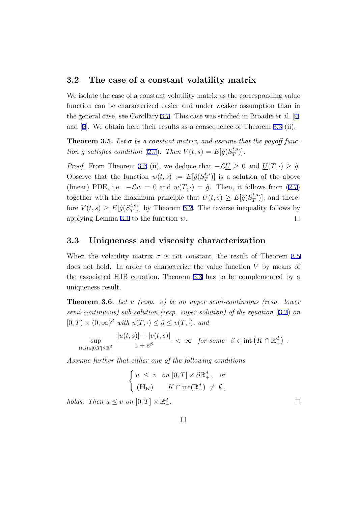#### <span id="page-11-0"></span>**3.2 The case of a constant volatility matrix**

We isolate the case of a constant volatility matrix as the corresponding value function can be characterized easier and under weaker assumption than in the general case, see Corollary [3.7.](#page-12-0) This case was studied in Broadie et al. [\[4](#page-28-0)] and [[2\]](#page-28-0). We obtain here their results as a consequence of Theorem [3.3](#page-10-0) (ii).

**Theorem 3.5.** Let  $\sigma$  be a constant matrix, and assume that the payoff func*tion g satisfies condition* ([2.7\)](#page-6-0)*. Then*  $V(t,s) = E[\hat{g}(S_T^{t,s})]$  $\binom{t,s}{T}$ .

*Proof.* From Theorem [3.3](#page-10-0) (ii), we deduce that  $-\mathcal{L}\underline{U} \geq 0$  and  $\underline{U}(T,\cdot) \geq \hat{g}$ . Observe that the function  $w(t,s) := E[\hat{g}(S_T^{t,s})]$  $\binom{t,s}{T}$  is a solution of the above (linear) PDE, i.e.  $-\mathcal{L}w = 0$  and  $w(T, \cdot) = \hat{g}$ . Then, it follows from ([2.7\)](#page-6-0) together with the maximum principle that  $\underline{U}(t,s) \geq E[\hat{g}(S_T^{t,s})]$  $_{T}^{(t,s)}$ , and therefore  $V(t,s) \geq E[\hat{g}(S_T^{t,s})]$  $T^{t,s}_{T}$ ) by Theorem [3.2](#page-9-0). The reverse inequality follows by applying Lemma [3.1](#page-8-0) to the function *w*.  $\Box$ 

#### **3.3 Uniqueness and viscosity characterization**

When the volatility matrix  $\sigma$  is not constant, the result of Theorem 3.5 does not hold. In order to characterize the value function *V* by means of the associated HJB equation, Theorem [3.3](#page-10-0) has to be complemented by a uniqueness result.

**Theorem 3.6.** *Let u (resp. v) be an upper semi-continuous (resp. lower semi-continuous) sub-solution (resp. super-solution) of the equation* ([3.2\)](#page-8-0) *on*  $[0, T) \times (0, \infty)^d$  *with*  $u(T, \cdot) \leq \hat{g} \leq v(T, \cdot)$ *, and* 

$$
\sup_{(t,s)\in[0,T]\times\mathbb{R}_+^d}\frac{|u(t,s)|+|v(t,s)|}{1+s^\beta}<\infty\quad\text{for some}\quad\beta\in\mathrm{int}\left(K\cap\mathbb{R}_+^d\right).
$$

*Assume further that either one of the following conditions*

$$
\left\{ \begin{array}{ll} u \; \leq \; v \quad on \; [0,T] \times \partial \mathbb{R}^d_+ \, , \quad \textit{or} \\[2mm] (\mathbf{H_K}) \qquad K \cap \mathrm{int}(\mathbb{R}^d_-) \; \neq \; \emptyset \, , \end{array} \right.
$$

*holds.* Then  $u \leq v$  on  $[0, T] \times \mathbb{R}^d_+$ .

 $\Box$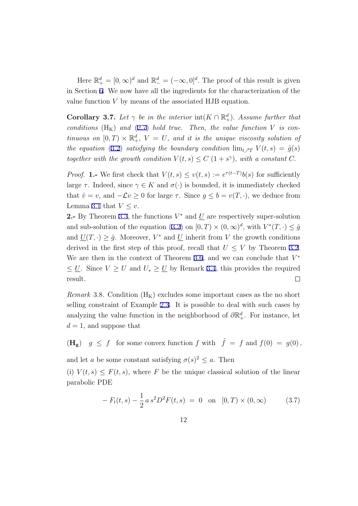<span id="page-12-0"></span>Here  $\mathbb{R}^d_+ = [0, \infty)^d$  and  $\mathbb{R}^d_- = (-\infty, 0]^d$ . The proof of this result is given in Section [6](#page-23-0). We now have all the ingredients for the characterization of the value function *V* by means of the associated HJB equation.

**Corollary 3.7.** Let  $\gamma$  be in the interior  $\text{int}(K \cap \mathbb{R}^d_+)$ . Assume further that *conditions*  $(H_K)$  *and* [\(2.7](#page-6-0)) *hold true. Then, the value function V is continuous on*  $[0, T) \times \mathbb{R}^d_+$ ,  $V = U$ , and it is the unique viscosity solution of *the equation* ([3.2\)](#page-8-0) *satisfying the boundary condition*  $\lim_{t \nearrow T} V(t,s) = \hat{g}(s)$ *together with the growth condition*  $V(t,s) \leq C(1+s^{\gamma})$ , *with a constant C*.

*Proof.* **1.-** We first check that  $V(t,s) \leq v(t,s) := e^{\tau(t-T)}b(s)$  for sufficiently large  $\tau$ . Indeed, since  $\gamma \in K$  and  $\sigma(\cdot)$  is bounded, it is immediately checked that  $\hat{v} = v$ , and  $-\mathcal{L}v \geq 0$  for large  $\tau$ . Since  $g \leq b = v(T, \cdot)$ , we deduce from Lemma [3.1](#page-8-0) that  $V \leq v$ .

**2.** By Theorem [3.3](#page-10-0), the functions  $V^*$  and  $\underline{U}$  are respectively super-solution and sub-solution of the equation [\(3.2](#page-8-0)) on  $[0, T) \times (0, \infty)^d$ , with  $V^*(T, \cdot) \leq \hat{g}$ and  $\underline{U}(T, \cdot) \geq \hat{g}$ . Moreover,  $V^*$  and  $\underline{U}$  inherit from V the growth conditions derived in the first step of this proof, recall that  $U \leq V$  by Theorem [3.2](#page-9-0). We are then in the context of Theorem [3.6,](#page-11-0) and we can conclude that *V ∗*  $≤$  *U*. Since *V*  $≥$  *U* and  $U_*$   $≥$  *U* by Remark [3.4,](#page-10-0) this provides the required result.  $\Box$ 

*Remark* 3.8. Condition  $(H_K)$  excludes some important cases as the no short selling constraint of Example [2.3](#page-6-0). It is possible to deal with such cases by analyzing the value function in the neighborhood of  $\partial \mathbb{R}^d_+$ . For instance, let  $d = 1$ , and suppose that

 $(\mathbf{H}_{g})$   $g \leq f$  for some convex function  $f$  with  $\hat{f} = f$  and  $f(0) = g(0)$ ,

and let *a* be some constant satisfying  $\sigma(s)^2 \leq a$ . Then

(i)  $V(t,s) \leq F(t,s)$ , where *F* be the unique classical solution of the linear parabolic PDE

$$
-F_t(t,s) - \frac{1}{2} a s^2 D^2 F(t,s) = 0 \text{ on } [0,T) \times (0,\infty)
$$
 (3.7)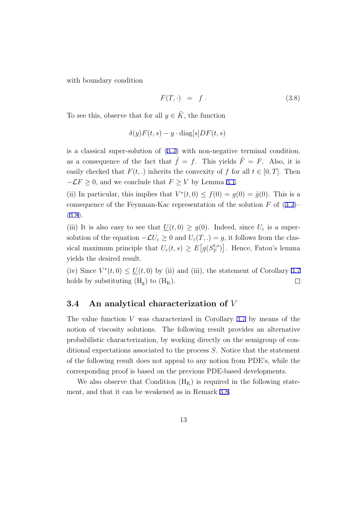<span id="page-13-0"></span>with boundary condition

$$
F(T, \cdot) = f. \tag{3.8}
$$

To see this, observe that for all  $y \in \tilde{K}$ , the function

$$
\delta(y)F(t,s) - y \cdot \text{diag}[s]DF(t,s)
$$

is a classical super-solution of ([3.7\)](#page-12-0) with non-negative terminal condition, as a consequence of the fact that  $\hat{f} = f$ . This yields  $\hat{F} = F$ . Also, it is easily checked that  $F(t,.)$  inherits the convexity of *f* for all  $t \in [0, T]$ . Then  $-LF \geq 0$ , and we conclude that  $F \geq V$  by Lemma [3.1.](#page-8-0)

(ii) In particular, this implies that  $V^*(t,0) \leq f(0) = g(0) = \hat{g}(0)$ . This is a consequence of the Feynman-Kac representation of the solution *F* of [\(3.7\)](#page-12-0)– (3.8).

(iii) It is also easy to see that  $\underline{U}(t,0) \ge g(0)$ . Indeed, since  $U_{\varepsilon}$  is a supersolution of the equation  $-\mathcal{L}U_{\varepsilon} \geq 0$  and  $U_{\varepsilon}(T,.) = g$ , it follows from the classical maximum principle that  $U_{\varepsilon}(t, s) \geq E[g(S_T^{t,s})]$ <sup>*t*,*s*</sup></sup>)<sup>]</sup>. Hence, Fatou's lemma yields the desired result.

(iv) Since  $V^*(t,0) \leq \underline{U}(t,0)$  by (ii) and (iii), the statement of Corollary [3.7](#page-12-0) holds by substituting  $(H_g)$  to  $(H_K)$ .  $\Box$ 

#### **3.4 An analytical characterization of** *V*

The value function *V* was characterized in Corollary [3.7](#page-12-0) by means of the notion of viscosity solutions. The following result provides an alternative probabilistic characterization, by working directly on the semigroup of conditional expectations associated to the process *S*. Notice that the statement of the following result does not appeal to any notion from PDE's, while the corresponding proof is based on the previous PDE-based developments.

We also observe that Condition  $(H_K)$  is required in the following statement, and that it can be weakened as in Remark [3.8](#page-12-0).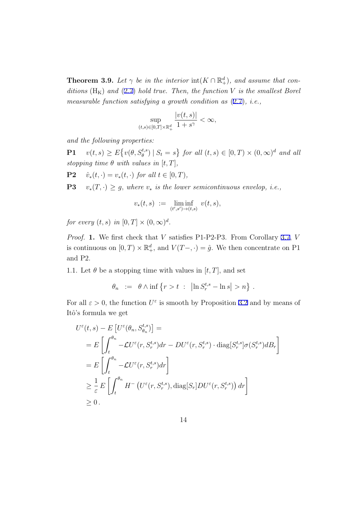**Theorem 3.9.** Let  $\gamma$  be in the interior  $\text{int}(K \cap \mathbb{R}^d_+)$ , and assume that con*ditions*  $(H_K)$  *and* [\(2.7](#page-6-0)) *hold true. Then, the function V is the smallest Borel measurable function satisfying a growth condition as* ([2.7\)](#page-6-0)*, i.e.,*

$$
\sup_{(t,s)\in[0,T]\times\mathbb{R}^d_+}\frac{|v(t,s)|}{1+s^\gamma}<\infty,
$$

*and the following properties:*

**P1**  $v(t,s) \ge E\{v(\theta, S_{\theta}^{t,s}) | S_t = s\}$  for all  $(t,s) \in [0,T) \times (0,\infty)^d$  and all *stopping time*  $\theta$  *with values in*  $[t, T]$ *,* 

 $P2$  *i*<sub>\*</sub>(*t, ·*) = *v*<sub>\*</sub>(*t, ·*) *for all t*  $\in$  [0*,T*)*,* 

**P3**  $v_*(T, \cdot) \geq g$ , where  $v_*$  is the lower semicontinuous envelop, i.e.,

$$
v_*(t,s) \ := \ \liminf_{(t',s') \to (t,s)} \ v(t,s),
$$

*for every*  $(t, s)$  *in*  $[0, T] \times (0, \infty)^d$ .

*Proof.* **1.** We first check that *V* satisfies P1-P2-P3. From Corollary [3.7](#page-12-0), *V* is continuous on  $[0, T) \times \mathbb{R}^d_+$ , and  $V(T- , \cdot) = \hat{g}$ . We then concentrate on P1 and P2.

1.1. Let  $\theta$  be a stopping time with values in  $[t, T]$ , and set

$$
\theta_n \ := \ \theta \wedge \inf \left\{ r > t \ : \ \left| \ln S^{t,s}_r - \ln s \right| > n \right\} \, .
$$

For all  $\varepsilon > 0$ , the function  $U^{\varepsilon}$  is smooth by Proposition [3.2](#page-9-0) and by means of Itô's formula we get

$$
U^{\varepsilon}(t,s) - E\left[U^{\varepsilon}(\theta_n, S_{\theta_n}^{t,s})\right] =
$$
  
\n
$$
= E\left[\int_t^{\theta_n} -\mathcal{L}U^{\varepsilon}(r, S_r^{t,s})dr - DU^{\varepsilon}(r, S_r^{t,s}) \cdot \text{diag}[S_r^{t,s}]\sigma(S_r^{t,s})dB_r\right]
$$
  
\n
$$
= E\left[\int_t^{\theta_n} -\mathcal{L}U^{\varepsilon}(r, S_r^{t,s})dr\right]
$$
  
\n
$$
\geq \frac{1}{\varepsilon}E\left[\int_t^{\theta_n} H^-\left(U^{\varepsilon}(r, S_r^{t,s}), \text{diag}[S_r]DU^{\varepsilon}(r, S_r^{t,s})\right)dr\right]
$$
  
\n
$$
\geq 0.
$$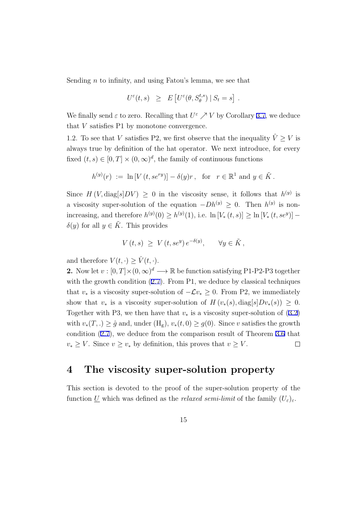Sending *n* to infinity, and using Fatou's lemma, we see that

$$
U^{\varepsilon}(t,s) \geq E\left[U^{\varepsilon}(\theta, S^{t,s}_{\theta}) \mid S_t = s\right].
$$

We finally send  $\varepsilon$  to zero. Recalling that  $U^{\varepsilon} \nearrow V$  by Corollary [3.7](#page-12-0), we deduce that *V* satisfies P1 by monotone convergence.

1.2. To see that *V* satisfies P2, we first observe that the inequality  $\hat{V} \geq V$  is always true by definition of the hat operator. We next introduce, for every fixed  $(t, s) \in [0, T] \times (0, \infty)^d$ , the family of continuous functions

$$
h^{(y)}(r) := \ln [V(t, s e^{ry})] - \delta(y)r, \text{ for } r \in \mathbb{R}^1 \text{ and } y \in \tilde{K}.
$$

Since  $H(V, \text{diag}[s] DV) \geq 0$  in the viscosity sense, it follows that  $h^{(y)}$  is a viscosity super-solution of the equation  $-Dh^{(y)} \geq 0$ . Then  $h^{(y)}$  is nonincreasing, and therefore  $h^{(y)}(0) \ge h^{(y)}(1)$ , i.e.  $\ln[V_*(t, s)] \ge \ln[V_*(t, s e^y)]$ *δ*(*y*) for all *y*  $∈$   $K̃$ . This provides

$$
V(t,s) \ge V(t, s e^y) e^{-\delta(y)}, \quad \forall y \in \tilde{K},
$$

and therefore  $V(t, \cdot) \geq \hat{V}(t, \cdot)$ .

2. Now let  $v : [0, T] \times (0, \infty)^d \longrightarrow \mathbb{R}$  be function satisfying P1-P2-P3 together with the growth condition  $(2.7)$  $(2.7)$ . From P1, we deduce by classical techniques that  $v_*$  is a viscosity super-solution of  $-\mathcal{L}v_* \geq 0$ . From P2, we immediately show that  $v_*$  is a viscosity super-solution of  $H(v_*(s), diag[s]Dv_*(s)) \geq 0$ . Together with P3, we then have that  $v_*$  is a viscosity super-solution of  $(3.2)$  $(3.2)$ with  $v_*(T,.) \geq \hat{g}$  and, under  $(H_g), v_*(t,0) \geq g(0)$ . Since *v* satisfies the growth condition [\(2.7](#page-6-0)), we deduce from the comparison result of Theorem [3.6](#page-11-0) that *v*<sup>*∗*</sup>  $\geq$  *V*. Since *v*  $\geq$  *v*<sub>*\**</sub> by definition, this proves that *v*  $\geq$  *V*.  $\Box$ 

## **4 The viscosity super-solution property**

This section is devoted to the proof of the super-solution property of the function *U* which was defined as the *relaxed semi-limit* of the family  $(U_{\varepsilon})_{\varepsilon}$ .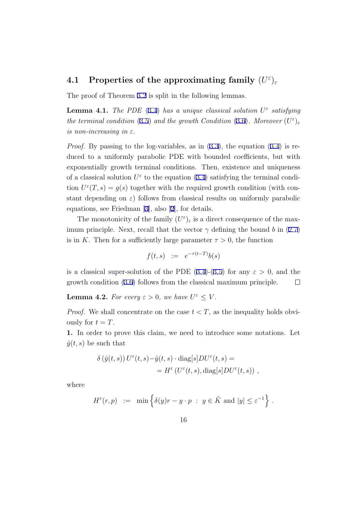## <span id="page-16-0"></span> $4.1$  Properties of the approximating family  $(U^{\varepsilon})_{\varepsilon}$

The proof of Theorem [3.2](#page-9-0) is split in the following lemmas.

**Lemma 4.1.** *The PDE* [\(3.4](#page-9-0)) *has a unique classical solution*  $U^{\varepsilon}$  *satisfying the terminal condition* [\(3.5](#page-9-0)) *and the growth Condition* [\(3.6](#page-10-0))*. Moreover*  $(U^{\varepsilon})_{\varepsilon}$ *is non-increasing in*  $\varepsilon$ *.* 

*Proof.* By passing to the log-variables, as in  $(3.3)$  $(3.3)$ , the equation  $(3.4)$  $(3.4)$  is reduced to a uniformly parabolic PDE with bounded coefficients, but with exponentially growth terminal conditions. Then, existence and uniqueness of a classical solution  $U^{\varepsilon}$  to the equation [\(3.4](#page-9-0)) satisfying the terminal condition  $U^{\varepsilon}(T, s) = g(s)$  together with the required growth condition (with constant depending on  $\varepsilon$ ) follows from classical results on uniformly parabolic equations, see Friedman [[3\]](#page-28-0), also [[2\]](#page-28-0), for details.

The monotonicity of the family  $(U^{\varepsilon})_{\varepsilon}$  is a direct consequence of the maximum principle. Next, recall that the vector  $\gamma$  defining the bound *b* in ([2.7\)](#page-6-0) is in *K*. Then for a sufficiently large parameter  $\tau > 0$ , the function

$$
f(t,s) := e^{-\tau(t-T)}b(s)
$$

is a classical super-solution of the PDE  $(3.4)-(3.5)$  $(3.4)-(3.5)$  $(3.4)-(3.5)$  $(3.4)-(3.5)$  for any  $\varepsilon > 0$ , and the growth condition [\(3.6](#page-10-0)) follows from the classical maximum principle.  $\Box$ 

**Lemma 4.2.** *For every*  $\varepsilon > 0$ *, we have*  $U^{\varepsilon} \leq V$ *.* 

*Proof.* We shall concentrate on the case  $t < T$ , as the inequality holds obviously for  $t = T$ .

**1.** In order to prove this claim, we need to introduce some notations. Let  $\hat{y}(t,s)$  be such that

$$
\delta(\hat{y}(t,s)) U^{\varepsilon}(t,s) - \hat{y}(t,s) \cdot \text{diag}[s]DU^{\varepsilon}(t,s) =
$$
  
= 
$$
H^{\varepsilon}(U^{\varepsilon}(t,s), \text{diag}[s]DU^{\varepsilon}(t,s)),
$$

where

$$
H^{\varepsilon}(r,p) := \min \left\{ \delta(y)r - y \cdot p \; : \; y \in \tilde{K} \text{ and } |y| \leq \varepsilon^{-1} \right\}.
$$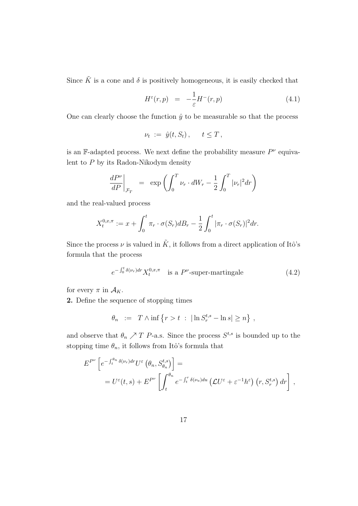<span id="page-17-0"></span>Since  $\tilde{K}$  is a cone and  $\delta$  is positively homogeneous, it is easily checked that

$$
H^{\varepsilon}(r,p) = -\frac{1}{\varepsilon}H^-(r,p) \tag{4.1}
$$

One can clearly choose the function  $\hat{y}$  to be measurable so that the process

$$
\nu_t := \hat{y}(t, S_t), \quad t \leq T,
$$

is an F-adapted process. We next define the probability measure  $P^{\nu}$  equivalent to *P* by its Radon-Nikodym density

$$
\left. \frac{dP^{\nu}}{dP} \right|_{\mathcal{F}_T} = \exp \left( \int_0^T \nu_r \cdot dW_r - \frac{1}{2} \int_0^T |\nu_r|^2 dr \right)
$$

and the real-valued process

$$
X_t^{0,x,\pi} := x + \int_0^t \pi_r \cdot \sigma(S_r) dB_r - \frac{1}{2} \int_0^t |\pi_r \cdot \sigma(S_r)|^2 dr.
$$

Since the process  $\nu$  is valued in  $\tilde{K}$ , it follows from a direct application of Itô's formula that the process

$$
e^{-\int_0^t \delta(\nu_r) dr} X_t^{0,x,\pi} \quad \text{is a } P^{\nu}\text{-super-martingale} \tag{4.2}
$$

for every  $\pi$  in  $\mathcal{A}_K$ .

**2.** Define the sequence of stopping times

$$
\theta_n \ := \ T \wedge \inf \left\{ r > t \ : \ |\ln S_r^{t,s} - \ln s| \geq n \right\} ,
$$

and observe that  $\theta_n \nearrow T$  *P*-a.s. Since the process  $S^{t,s}$  is bounded up to the stopping time  $\theta_n$ , it follows from Itô's formula that

$$
E^{P^{\nu}}\left[e^{-\int_t^{\theta_n} \delta(\nu_r) dr} U^{\varepsilon}\left(\theta_n, S_{\theta_n}^{t,s}\right)\right] =
$$
  
= 
$$
U^{\varepsilon}(t,s) + E^{P^{\nu}}\left[\int_t^{\theta_n} e^{-\int_t^r \delta(\nu_u) du} \left(\mathcal{L}U^{\varepsilon} + \varepsilon^{-1}h^{\varepsilon}\right)(r, S_r^{t,s}) dr\right],
$$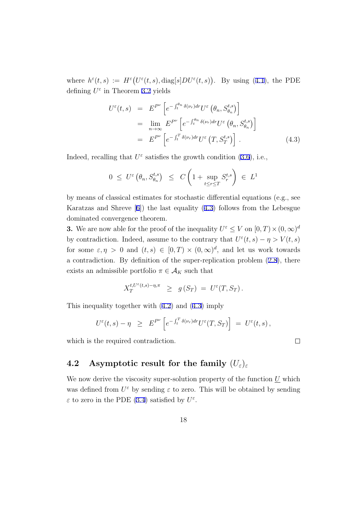<span id="page-18-0"></span>where  $h^{\varepsilon}(t, s) := H^{\varepsilon}(U^{\varepsilon}(t, s), \text{diag}[s]DU^{\varepsilon}(t, s))$ . By using ([4.1\)](#page-17-0), the PDE defining *U ε* in Theorem [3.2](#page-9-0) yields

$$
U^{\varepsilon}(t,s) = E^{P^{\nu}} \left[ e^{-\int_{t}^{\theta_{n}} \delta(\nu_{r}) dr} U^{\varepsilon} \left( \theta_{n}, S^{t,s}_{\theta_{n}} \right) \right]
$$
  
\n
$$
= \lim_{n \to \infty} E^{P^{\nu}} \left[ e^{-\int_{t}^{\theta_{n}} \delta(\nu_{r}) dr} U^{\varepsilon} \left( \theta_{n}, S^{t,s}_{\theta_{n}} \right) \right]
$$
  
\n
$$
= E^{P^{\nu}} \left[ e^{-\int_{t}^{T} \delta(\nu_{r}) dr} U^{\varepsilon} \left( T, S^{t,s}_{T} \right) \right]. \tag{4.3}
$$

Indeed, recalling that  $U^{\varepsilon}$  satisfies the growth condition [\(3.6](#page-10-0)), i.e.,

$$
0 \leq U^{\varepsilon} \left( \theta_n, S_{\theta_n}^{t,s} \right) \leq C \left( 1 + \sup_{t \leq r \leq T} S_r^{t,s} \right) \in L^1
$$

by means of classical estimates for stochastic differential equations (e.g., see Karatzas and Shreve [[6\]](#page-28-0)) the last equality (4.3) follows from the Lebesgue dominated convergence theorem.

**3.** We are now able for the proof of the inequality  $U^{\varepsilon} \leq V$  on  $[0, T) \times (0, \infty)^{d}$ by contradiction. Indeed, assume to the contrary that  $U^{\varepsilon}(t, s) - \eta > V(t, s)$ for some  $\varepsilon, \eta > 0$  and  $(t, s) \in [0, T) \times (0, \infty)^d$ , and let us work towards a contradiction. By definition of the super-replication problem ([2.8\)](#page-6-0), there exists an admissible portfolio  $\pi \in A_K$  such that

$$
X^{t, U^{\varepsilon}(t, s)-\eta, \pi}_T \geq g(S_T) = U^{\varepsilon}(T, S_T).
$$

This inequality together with [\(4.2](#page-17-0)) and (4.3) imply

$$
U^{\varepsilon}(t,s) - \eta \geq E^{P^{\nu}} \left[ e^{-\int_t^T \delta(\nu_r) dr} U^{\varepsilon}(T,S_T) \right] = U^{\varepsilon}(t,s) ,
$$

which is the required contradiction.

### **4.2** Asymptotic result for the family  $(U_{\varepsilon})_{\varepsilon}$

We now derive the viscosity super-solution property of the function *U* which was defined from  $U^{\varepsilon}$  by sending  $\varepsilon$  to zero. This will be obtained by sending *ε* to zero in the PDE [\(3.4](#page-9-0)) satisfied by  $U^{\varepsilon}$ .

 $\Box$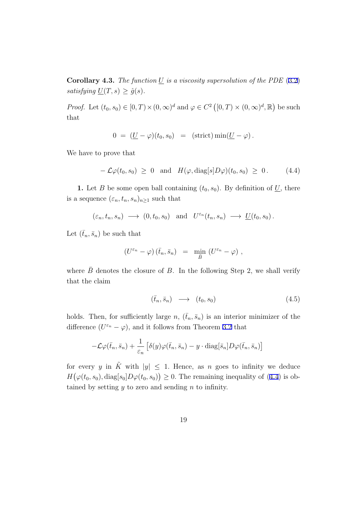<span id="page-19-0"></span>**Corollary 4.3.** *The function*  $\underline{U}$  *is a viscosity supersolution of the PDE* ([3.2\)](#page-8-0) *satisfying*  $\underline{U}(T, s) \geq \hat{g}(s)$ *.* 

*Proof.* Let  $(t_0, s_0) \in [0, T) \times (0, \infty)^d$  and  $\varphi \in C^2([0, T) \times (0, \infty)^d, \mathbb{R})$  be such that

$$
0 = (\underline{U} - \varphi)(t_0, s_0) = (\text{strict}) \min(\underline{U} - \varphi).
$$

We have to prove that

$$
-\mathcal{L}\varphi(t_0,s_0) \geq 0 \text{ and } H(\varphi,\text{diag}[s]D\varphi)(t_0,s_0) \geq 0. \quad (4.4)
$$

**1.** Let *B* be some open ball containing  $(t_0, s_0)$ . By definition of  $\underline{U}$ , there is a sequence  $(\varepsilon_n, t_n, s_n)_{n \geq 1}$  such that

$$
(\varepsilon_n, t_n, s_n) \longrightarrow (0, t_0, s_0)
$$
 and  $U^{\varepsilon_n}(t_n, s_n) \longrightarrow \underline{U}(t_0, s_0)$ .

Let  $(\bar{t}_n, \bar{s}_n)$  be such that

$$
(U^{\varepsilon_n}-\varphi)\left(\bar{t}_n,\bar{s}_n\right) = \min_{\bar{B}}\left(U^{\varepsilon_n}-\varphi\right),
$$

where  $\bar{B}$  denotes the closure of *B*. In the following Step 2, we shall verify that the claim

$$
(\bar{t}_n, \bar{s}_n) \longrightarrow (t_0, s_0) \tag{4.5}
$$

holds. Then, for sufficiently large *n*,  $(\bar{t}_n, \bar{s}_n)$  is an interior minimizer of the difference  $(U^{\varepsilon_n} - \varphi)$ , and it follows from Theorem [3.2](#page-9-0) that

$$
-\mathcal{L}\varphi(\bar{t}_n,\bar{s}_n)+\frac{1}{\varepsilon_n}\left[\delta(y)\varphi(\bar{t}_n,\bar{s}_n)-y\cdot{\rm diag}[\bar{s}_n]D\varphi(\bar{t}_n,\bar{s}_n)\right]
$$

for every *y* in  $\tilde{K}$  with  $|y| \leq 1$ . Hence, as *n* goes to infinity we deduce  $H(\varphi(t_0, s_0), \text{diag}[s_0]D\varphi(t_0, s_0)) \geq 0$ . The remaining inequality of (4.4) is obtained by setting *y* to zero and sending *n* to infinity.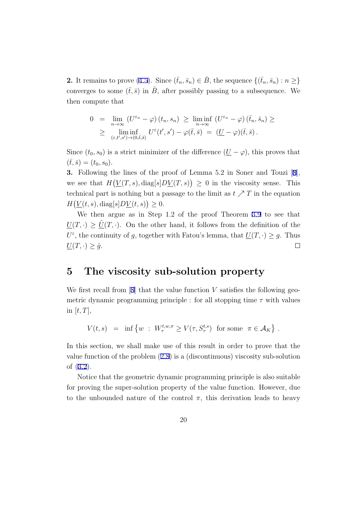<span id="page-20-0"></span>**2.** It remains to prove ([4.5\)](#page-19-0). Since  $(\bar{t}_n, \bar{s}_n) \in B$ , the sequence  $\{(\bar{t}_n, \bar{s}_n) : n \geq \}$ converges to some  $(\bar{t},\bar{s})$  in  $\bar{B}$ , after possibly passing to a subsequence. We then compute that

$$
0 = \lim_{n \to \infty} (U^{\varepsilon_n} - \varphi)(t_n, s_n) \ge \liminf_{n \to \infty} (U^{\varepsilon_n} - \varphi)(\bar{t}_n, \bar{s}_n) \ge
$$
  
 
$$
\ge \liminf_{(\varepsilon, t', s') \to (0, \bar{t}, \bar{s})} U^{\varepsilon}(t', s') - \varphi(\bar{t}, \bar{s}) = (\underline{U} - \varphi)(\bar{t}, \bar{s}).
$$

Since  $(t_0, s_0)$  is a strict minimizer of the difference  $(\underline{U} - \varphi)$ , this proves that  $(\bar{t},\bar{s}) = (t_0,s_0).$ 

**3.** Following the lines of the proof of Lemma 5.2 in Soner and Touzi [[8\]](#page-28-0), we see that  $H(V(T, s), diag[s]D(V(T, s)) \geq 0$  in the viscosity sense. This technical part is nothing but a passage to the limit as  $t \nearrow T$  in the equation  $H(\underline{V}(t,s), \text{diag}[s]D\underline{V}(t,s)) \geq 0.$ 

We then argue as in Step 1.2 of the proof Theorem [3.9](#page-13-0) to see that  $\underline{U}(T,\cdot) \geq \underline{U}(T,\cdot)$ . On the other hand, it follows from the definition of the  $U^{\varepsilon}$ , the continuity of *g*, together with Fatou's lemma, that  $\underline{U}(T, \cdot) \geq g$ . Thus  $\underline{U}(T,\cdot) \geq \hat{g}.$  $\Box$ 

## **5 The viscosity sub-solution property**

We first recall from [\[8](#page-28-0)] that the value function *V* satisfies the following geometric dynamic programming principle : for all stopping time *τ* with values in  $[t, T]$ ,

 $V(t, s) = \inf \{ w : W^{t,w,\pi}_\tau \ge V(\tau, S^{t,s}_\tau) \text{ for some } \pi \in \mathcal{A}_K \}.$ 

In this section, we shall make use of this result in order to prove that the value function of the problem ([2.8\)](#page-6-0) is a (discontinuous) viscosity sub-solution of ([3.2\)](#page-8-0).

Notice that the geometric dynamic programming principle is also suitable for proving the super-solution property of the value function. However, due to the unbounded nature of the control  $\pi$ , this derivation leads to heavy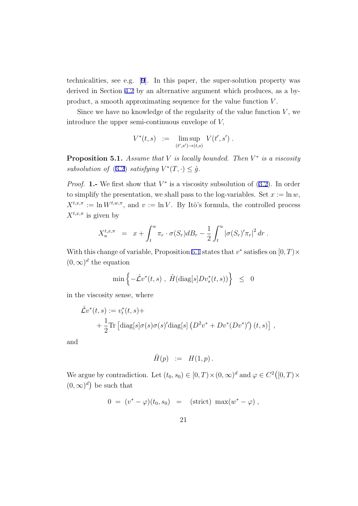technicalities, see e.g. [\[9\]](#page-29-0). In this paper, the super-solution property was derived in Section [4.2](#page-18-0) by an alternative argument which produces, as a byproduct, a smooth approximating sequence for the value function *V* .

Since we have no knowledge of the regularity of the value function  $V$ , we introduce the upper semi-continuous envelope of *V,*

$$
V^*(t,s) \ := \ \limsup_{(t',s') \to (t,s)} \ V(t',s') \ .
$$

**Proposition 5.1.** *Assume that V is locally bounded. Then V ∗ is a viscosity subsolution of*  $(3.2)$  $(3.2)$  *satisfying*  $V^*(T, \cdot) \leq \hat{g}$ .

*Proof.* **1.**- We first show that  $V^*$  is a viscosity subsolution of  $(3.2)$  $(3.2)$ . In order to simplify the presentation, we shall pass to the log-variables. Set  $x := \ln w$ ,  $X^{t,x,\pi} := \ln W^{t,w,\pi}$ , and  $v := \ln V$ . By Itô's formula, the controlled process  $X^{t,x,\pi}$  is given by

$$
X_u^{t,x,\pi} = x + \int_t^u \pi_r \cdot \sigma(S_r) dB_r - \frac{1}{2} \int_t^u |\sigma(S_r)'\pi_r|^2 dr.
$$

With this change of variable, Proposition 5.1 states that *v ∗* satisfies on [0*, T*)*×*  $(0, \infty)^d$  the equation

$$
\min\Big\{-\hat{\mathcal{L}}v^*(t,s)\;,\;\hat{H}(\mathrm{diag}[s]Dv^*_s(t,s))\Big\}\;\;\leq\;\;0
$$

in the viscosity sense, where

$$
\hat{\mathcal{L}}v^*(t,s) := v_t^*(t,s) +
$$
  
+  $\frac{1}{2}$ Tr  $\left[ \text{diag}[s] \sigma(s) \sigma(s)' \text{diag}[s] \left( D^2 v^* + D v^*(D v^*)' \right) (t,s) \right],$ 

and

$$
\hat{H}(p) \; := \; H(1,p) \, .
$$

We argue by contradiction. Let  $(t_0, s_0) \in [0, T) \times (0, \infty)^d$  and  $\varphi \in C^2([0, T) \times$  $(0, \infty)^d$  be such that

$$
0 = (v^* - \varphi)(t_0, s_0) = (\text{strict}) \ \max(w^* - \varphi) ,
$$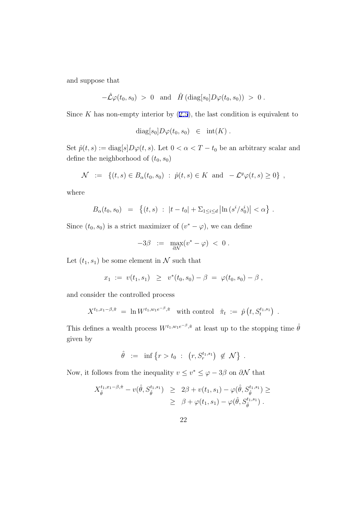and suppose that

$$
-\hat{\mathcal{L}}\varphi(t_0,s_0) > 0
$$
 and  $\hat{H}(\text{diag}[s_0]D\varphi(t_0,s_0)) > 0$ .

Since  $K$  has non-empty interior by  $(2.5)$  $(2.5)$ , the last condition is equivalent to

$$
\mathrm{diag}[s_0]D\varphi(t_0,s_0) \in \mathrm{int}(K) .
$$

Set  $\hat{p}(t, s) := \text{diag}[s]D\varphi(t, s)$ . Let  $0 < \alpha < T - t_0$  be an arbitrary scalar and define the neighborhood of  $(t_0, s_0)$ 

$$
\mathcal{N} := \{ (t,s) \in B_{\alpha}(t_0, s_0) : \hat{p}(t,s) \in K \text{ and } -\mathcal{L}^y \varphi(t,s) \ge 0 \},
$$

where

$$
B_{\alpha}(t_0, s_0) = \left\{ (t, s) : |t - t_0| + \sum_{1 \leq i \leq d} \left| \ln \left( s^i / s_0^i \right) \right| < \alpha \right\}.
$$

Since  $(t_0, s_0)$  is a strict maximizer of  $(v^* - \varphi)$ , we can define

$$
-3\beta\ \ :=\ \ \max_{\partial\mathcal{N}}(v^*-\varphi)\ <\ 0\ .
$$

Let  $(t_1, s_1)$  be some element in  $N$  such that

$$
x_1 := v(t_1,s_1) \geq v^*(t_0,s_0) - \beta = \varphi(t_0,s_0) - \beta,
$$

and consider the controlled process

$$
X^{t_1,x_1-\beta,\hat{\pi}} = \ln W^{t_1,w_1e^{-\beta},\hat{\pi}} \text{ with control } \hat{\pi}_t := \hat{p}(t,S_t^{t_1,s_1}) .
$$

This defines a wealth process  $W^{t_1,w_1e^{-\beta},\hat{\pi}}$  at least up to the stopping time  $\hat{\theta}$ given by

$$
\hat{\theta} := \inf \{ r > t_0 : (r, S_r^{t_1, s_1}) \notin \mathcal{N} \} .
$$

Now, it follows from the inequality  $v \leq v^* \leq \varphi - 3\beta$  on  $\partial \mathcal{N}$  that

$$
X_{\hat{\theta}}^{t_1, x_1 - \beta, \hat{\pi}} - v(\hat{\theta}, S_{\hat{\theta}}^{t_1, s_1}) \ge 2\beta + v(t_1, s_1) - \varphi(\hat{\theta}, S_{\hat{\theta}}^{t_1, s_1}) \ge \ge \beta + \varphi(t_1, s_1) - \varphi(\hat{\theta}, S_{\hat{\theta}}^{t_1, s_1}).
$$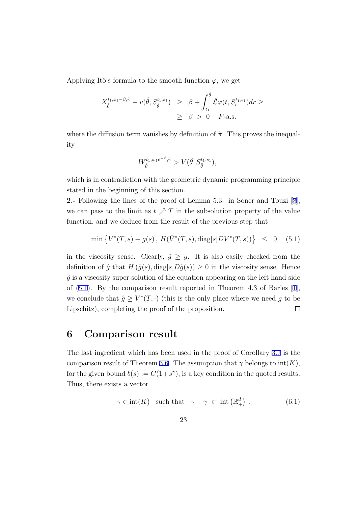<span id="page-23-0"></span>Applying Itô's formula to the smooth function  $\varphi$ , we get

$$
X_{\hat{\theta}}^{t_1, x_1 - \beta, \hat{\pi}} - v(\hat{\theta}, S_{\hat{\theta}}^{t_1, s_1}) \geq \beta + \int_{t_1}^{\hat{\theta}} \hat{\mathcal{L}} \varphi(t, S_r^{t_1, s_1}) dr \geq \beta > 0 \quad P\text{-a.s.}
$$

where the diffusion term vanishes by definition of  $\hat{\pi}$ . This proves the inequality

$$
W^{t_1, w_1e^{-\beta}, \hat{\pi}}_{\hat{\theta}} > V(\hat{\theta}, S^{t_1, s_1}_{\hat{\theta}}),
$$

which is in contradiction with the geometric dynamic programming principle stated in the beginning of this section.

**2.-** Following the lines of the proof of Lemma 5.3. in Soner and Touzi [[8\]](#page-28-0), we can pass to the limit as  $t \nearrow T$  in the subsolution property of the value function, and we deduce from the result of the previous step that

$$
\min \left\{ V^*(T,s) - g(s) \, , \, H(\bar{V}^*(T,s), \text{diag}[s]DV^*(T,s)) \right\} \leq 0 \quad (5.1)
$$

in the viscosity sense. Clearly,  $\hat{g} \geq g$ . It is also easily checked from the definition of  $\hat{g}$  that  $H(\hat{g}(s), \text{diag}[s]D\hat{g}(s)) \geq 0$  in the viscosity sense. Hence  $\hat{g}$  is a viscosity super-solution of the equation appearing on the left hand-side of (5.1). By the comparison result reported in Theorem 4.3 of Barles [[1\]](#page-28-0), we conclude that  $\hat{g} \geq V^*(T, \cdot)$  (this is the only place where we need g to be Lipschitz), completing the proof of the proposition.  $\Box$ 

## **6 Comparison result**

The last ingredient which has been used in the proof of Corollary [3.7](#page-12-0) is the comparison result of Theorem [3.6](#page-11-0). The assumption that  $\gamma$  belongs to  $\text{int}(K)$ , for the given bound  $b(s) := C(1+s^{\gamma})$ , is a key condition in the quoted results. Thus, there exists a vector

$$
\overline{\gamma} \in \text{int}(K) \quad \text{such that} \quad \overline{\gamma} - \gamma \in \text{int}\left(\mathbb{R}^d_+\right) . \tag{6.1}
$$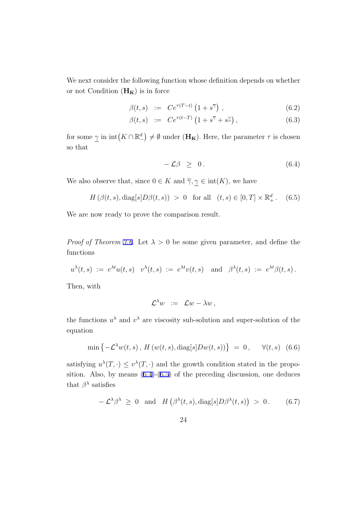<span id="page-24-0"></span>We next consider the following function whose definition depends on whether or not Condition  $(\mathbf{H}_{\mathbf{K}})$  is in force

$$
\beta(t,s) := C e^{\tau(T-t)} \left( 1 + s^{\overline{\gamma}} \right) , \qquad (6.2)
$$

$$
\beta(t,s) \quad := \quad C e^{\tau(t-T)} \left( 1 + s^{\overline{\gamma}} + s^{\underline{\gamma}} \right), \tag{6.3}
$$

for some  $\gamma$  in  $\text{int}(K \cap \mathbb{R}^d)$  $\binom{d}{ }$  *≠*  $\emptyset$  under (**H<sub>K</sub>**). Here, the parameter  $\tau$  is chosen so that

$$
-\mathcal{L}\beta \geq 0. \tag{6.4}
$$

We also observe that, since  $0 \in K$  and  $\overline{\gamma}, \underline{\gamma} \in \text{int}(K)$ , we have

$$
H(\beta(t,s), \text{diag}[s]D\beta(t,s)) > 0 \text{ for all } (t,s) \in [0,T] \times \mathbb{R}^d_+.
$$
 (6.5)

We are now ready to prove the comparison result.

*Proof of Theorem [3.6](#page-11-0).* Let  $\lambda > 0$  be some given parameter, and define the functions

$$
u^{\lambda}(t,s) := e^{\lambda t} u(t,s) \quad v^{\lambda}(t,s) := e^{\lambda t} v(t,s) \quad \text{and} \quad \beta^{\lambda}(t,s) := e^{\lambda t} \beta(t,s).
$$

Then, with

$$
\mathcal{L}^{\lambda} w \;\; := \;\; \mathcal{L} w - \lambda w \,,
$$

the functions  $u^{\lambda}$  and  $v^{\lambda}$  are viscosity sub-solution and super-solution of the equation

$$
\min\left\{-\mathcal{L}^{\lambda}w(t,s),\,H\left(w(t,s),\mathrm{diag}[s]Dw(t,s)\right)\right\} = 0, \quad \forall (t,s) \quad (6.6)
$$

satisfying  $u^{\lambda}(T, \cdot) \leq v^{\lambda}(T, \cdot)$  and the growth condition stated in the proposition. Also, by means  $(6.4)-(6.5)$  of the preceding discussion, one deduces that  $\beta^{\lambda}$  satisfies

$$
-\mathcal{L}^{\lambda}\beta^{\lambda} \geq 0 \text{ and } H(\beta^{\lambda}(t,s), \text{diag}[s]D\beta^{\lambda}(t,s)) > 0. \quad (6.7)
$$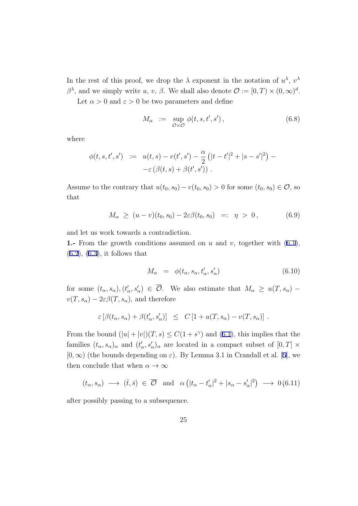<span id="page-25-0"></span>In the rest of this proof, we drop the  $\lambda$  exponent in the notation of  $u^{\lambda}$ ,  $v^{\lambda}$ *β*<sup>λ</sup>, and we simply write *u*, *v*, *β*. We shall also denote  $\mathcal{O} := [0, T) \times (0, \infty)^d$ .

Let  $\alpha > 0$  and  $\varepsilon > 0$  be two parameters and define

$$
M_{\alpha} := \sup_{\mathcal{O}\times\mathcal{O}} \phi(t, s, t', s'), \qquad (6.8)
$$

where

$$
\begin{array}{rcl} \phi(t,s,t',s') & := & u(t,s) - v(t',s') - \frac{\alpha}{2} \left( |t-t'|^2 + |s-s'|^2 \right) - \\ & -\varepsilon \left( \beta(t,s) + \beta(t',s') \right) \, . \end{array}
$$

Assume to the contrary that  $u(t_0, s_0) - v(t_0, s_0) > 0$  for some  $(t_0, s_0) \in \mathcal{O}$ , so that

$$
M_{\alpha} \ge (u - v)(t_0, s_0) - 2\varepsilon \beta(t_0, s_0) =: \eta > 0, \qquad (6.9)
$$

and let us work towards a contradiction.

**1.-** From the growth conditions assumed on *u* and *v*, together with ([6.1\)](#page-23-0),  $(6.2)$  $(6.2)$ ,  $(6.3)$  $(6.3)$ , it follows that

$$
M_{\alpha} = \phi(t_{\alpha}, s_{\alpha}, t_{\alpha}', s_{\alpha}')
$$
\n(6.10)

for some  $(t_{\alpha}, s_{\alpha}), (t'_{\alpha}, s'_{\alpha}) \in \mathcal{O}$ . We also estimate that  $M_{\alpha} \geq u(T, s_{\alpha})$  $v(T, s_\alpha) - 2\varepsilon\beta(T, s_\alpha)$ , and therefore

$$
\varepsilon \left[ \beta(t_\alpha, s_\alpha) + \beta(t_\alpha', s_\alpha') \right] \leq C \left[ 1 + u(T, s_\alpha) - v(T, s_\alpha) \right].
$$

From the bound  $(|u| + |v|)(T, s) \leq C(1 + s^{\gamma})$  and [\(6.1](#page-23-0)), this implies that the families  $(t_{\alpha}, s_{\alpha})_{\alpha}$  and  $(t'_{\alpha}, s'_{\alpha})_{\alpha}$  are located in a compact subset of  $[0, T] \times$  $[0, \infty)$  (the bounds depending on  $\varepsilon$ ). By Lemma 3.1 in Crandall et al. [\[5](#page-28-0)], we then conclude that when  $\alpha \to \infty$ 

$$
(t_{\alpha}, s_{\alpha}) \longrightarrow (\bar{t}, \bar{s}) \in \overline{\mathcal{O}} \text{ and } \alpha (|t_{\alpha} - t'_{\alpha}|^2 + |s_{\alpha} - s'_{\alpha}|^2) \longrightarrow 0 \text{ (6.11)}
$$

after possibly passing to a subsequence.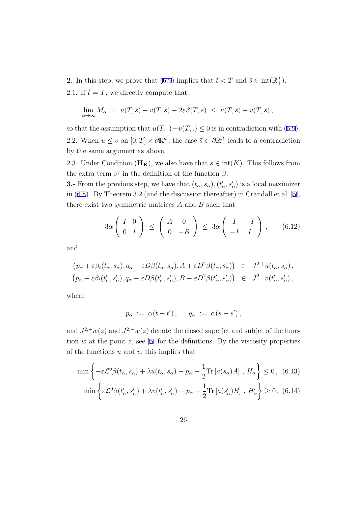<span id="page-26-0"></span>**2.** In this step, we prove that ([6.9\)](#page-25-0) implies that  $\bar{t} < T$  and  $\bar{s} \in \text{int}(\mathbb{R}^d_+)$ . 2.1. If  $\bar{t} = T$ , we directly compute that

$$
\lim_{\alpha \to \infty} M_{\alpha} = u(T, \bar{s}) - v(T, \bar{s}) - 2\varepsilon \beta(T, \bar{s}) \leq u(T, \bar{s}) - v(T, \bar{s}),
$$

so that the assumption that  $u(T,.) - v(T,.) \leq 0$  is in contradiction with ([6.9\)](#page-25-0). 2.2. When  $u \leq v$  on  $[0, T] \times \partial \mathbb{R}^d_+$ , the case  $\bar{s} \in \partial \mathbb{R}^d_+$  leads to a contradiction by the same argument as above.

2.3. Under Condition  $(\mathbf{H}_{\mathbf{K}})$ , we also have that  $\bar{s} \in \text{int}(K)$ . This follows from the extra term  $s^2$  in the definition of the function  $\beta$ .

**3.** From the previous step, we have that  $(t_{\alpha}, s_{\alpha}), (t'_{\alpha}, s'_{\alpha})$  is a local maximizer in [\(6.8](#page-25-0)). By Theorem 3.2 (and the discussion thereafter) in Crandall et al. [[5\]](#page-28-0), there exist two symmetric matrices *A* and *B* such that

$$
-3\alpha \left(\begin{array}{cc} I & 0 \\ 0 & I \end{array}\right) \le \left(\begin{array}{cc} A & 0 \\ 0 & -B \end{array}\right) \le 3\alpha \left(\begin{array}{cc} I & -I \\ -I & I \end{array}\right), \qquad (6.12)
$$

and

$$
(p_{\alpha} + \varepsilon \beta_t(t_{\alpha}, s_{\alpha}), q_{\alpha} + \varepsilon D\beta(t_{\alpha}, s_{\alpha}), A + \varepsilon D^2 \beta(t_{\alpha}, s_{\alpha})) \in \bar{J}^{2,+}u(t_{\alpha}, s_{\alpha}),(p_{\alpha} - \varepsilon \beta_t(t'_{\alpha}, s'_{\alpha}), q_{\alpha} - \varepsilon D\beta(t'_{\alpha}, s'_{\alpha}), B - \varepsilon D^2 \beta(t'_{\alpha}, s'_{\alpha})) \in \bar{J}^{2,-}v(t'_{\alpha}, s'_{\alpha}),
$$

where

$$
p_\alpha := \alpha(t - t'), \quad q_\alpha := \alpha(s - s'),
$$

and  $J^{2,+}w(z)$  and  $J^{2,-}w(z)$  denote the closed superjet and subjet of the function  $w$  at the point  $z$ , see [[5\]](#page-28-0) for the definitions. By the viscosity properties of the functions *u* and *v*, this implies that

$$
\min \left\{ -\varepsilon \mathcal{L}^0 \beta(t_\alpha, s_\alpha) + \lambda u(t_\alpha, s_\alpha) - p_\alpha - \frac{1}{2} \text{Tr} \left[ a(s_\alpha) A \right], H_\alpha \right\} \le 0, (6.13)
$$

$$
\min \left\{ \varepsilon \mathcal{L}^0 \beta(t'_\alpha, s'_\alpha) + \lambda v(t'_\alpha, s'_\alpha) - p_\alpha - \frac{1}{2} \text{Tr} \left[ a(s'_\alpha) B \right], H'_\alpha \right\} \ge 0, (6.14)
$$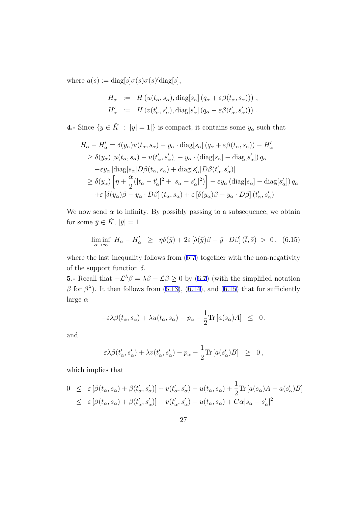where  $a(s) := \text{diag}[s] \sigma(s) \sigma(s)' \text{diag}[s],$ 

$$
H_{\alpha} := H(u(t_{\alpha}, s_{\alpha}), \text{diag}[s_{\alpha}] (q_{\alpha} + \varepsilon \beta(t_{\alpha}, s_{\alpha}))) ,
$$
  

$$
H'_{\alpha} := H(v(t'_{\alpha}, s'_{\alpha}), \text{diag}[s'_{\alpha}] (q_{\alpha} - \varepsilon \beta(t'_{\alpha}, s'_{\alpha}))) .
$$

**4.-** Since  $\{y \in \tilde{K} : |y| = 1\}$  is compact, it contains some  $y_\alpha$  such that

$$
H_{\alpha} - H'_{\alpha} = \delta(y_{\alpha})u(t_{\alpha}, s_{\alpha}) - y_{\alpha} \cdot \text{diag}[s_{\alpha}] (q_{\alpha} + \varepsilon \beta(t_{\alpha}, s_{\alpha})) - H'_{\alpha}
$$
  
\n
$$
\geq \delta(y_{\alpha}) [u(t_{\alpha}, s_{\alpha}) - u(t'_{\alpha}, s'_{\alpha})] - y_{\alpha} \cdot (\text{diag}[s_{\alpha}] - \text{diag}[s'_{\alpha}]) q_{\alpha}
$$
  
\n
$$
-\varepsilon y_{\alpha} [\text{diag}[s_{\alpha}] D \beta(t_{\alpha}, s_{\alpha}) + \text{diag}[s'_{\alpha}] D \beta(t'_{\alpha}, s'_{\alpha})]
$$
  
\n
$$
\geq \delta(y_{\alpha}) [\eta + \frac{\alpha}{2} (|t_{\alpha} - t'_{\alpha}|^{2} + |s_{\alpha} - s'_{\alpha}|^{2})] - \varepsilon y_{\alpha} (\text{diag}[s_{\alpha}] - \text{diag}[s'_{\alpha}]) q_{\alpha}
$$
  
\n
$$
+ \varepsilon [\delta(y_{\alpha}) \beta - y_{\alpha} \cdot D \beta] (t_{\alpha}, s_{\alpha}) + \varepsilon [\delta(y_{\alpha}) \beta - y_{\alpha} \cdot D \beta] (t'_{\alpha}, s'_{\alpha})
$$

We now send  $\alpha$  to infinity. By possibly passing to a subsequence, we obtain for some  $\bar{y} \in \tilde{K}$ ,  $|\bar{y}| = 1$ 

$$
\liminf_{\alpha \to \infty} H_{\alpha} - H'_{\alpha} \ge \eta \delta(\bar{y}) + 2\varepsilon \left[ \delta(\bar{y})\beta - \bar{y} \cdot D\beta \right] (\bar{t}, \bar{s}) > 0, \quad (6.15)
$$

where the last inequality follows from  $(6.7)$  $(6.7)$  together with the non-negativity of the support function  $\delta$ .

**5.**− Recall that  $-\mathcal{L}^{\lambda} \beta = \lambda \beta - \mathcal{L} \beta \ge 0$  by ([6.7\)](#page-24-0) (with the simplified notation  $β$  for  $β$ <sup> $λ$ </sup>). It then follows from [\(6.13](#page-26-0)), [\(6.14](#page-26-0)), and (6.15) that for sufficiently large *α*

$$
-\varepsilon \lambda \beta(t_\alpha, s_\alpha) + \lambda u(t_\alpha, s_\alpha) - p_\alpha - \frac{1}{2} \text{Tr} \left[ a(s_\alpha) A \right] \leq 0,
$$

and

$$
\varepsilon \lambda \beta(t'_\alpha, s'_\alpha) + \lambda v(t'_\alpha, s'_\alpha) - p_\alpha - \frac{1}{2} \text{Tr} \left[ a(s'_\alpha) B \right] \geq 0,
$$

which implies that

$$
0 \leq \varepsilon \left[ \beta(t_{\alpha}, s_{\alpha}) + \beta(t'_{\alpha}, s'_{\alpha}) \right] + v(t'_{\alpha}, s'_{\alpha}) - u(t_{\alpha}, s_{\alpha}) + \frac{1}{2} \text{Tr} \left[ a(s_{\alpha}) A - a(s'_{\alpha}) B \right]
$$
  

$$
\leq \varepsilon \left[ \beta(t_{\alpha}, s_{\alpha}) + \beta(t'_{\alpha}, s'_{\alpha}) \right] + v(t'_{\alpha}, s'_{\alpha}) - u(t_{\alpha}, s_{\alpha}) + C\alpha |s_{\alpha} - s'_{\alpha}|^2
$$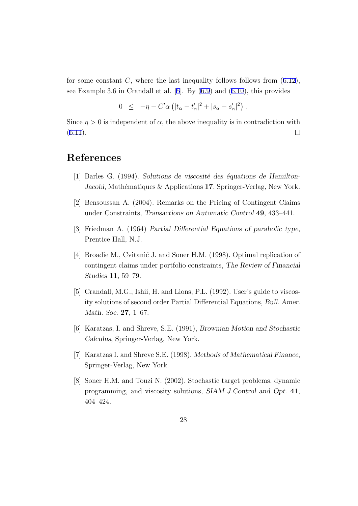<span id="page-28-0"></span>for some constant  $C$ , where the last inequality follows follows from  $(6.12)$  $(6.12)$ , see Example 3.6 in Crandall et al. [5]. By [\(6.9](#page-25-0)) and ([6.10\)](#page-25-0), this provides

$$
0 \leq -\eta - C'\alpha \left( |t_{\alpha} - t'_{\alpha}|^2 + |s_{\alpha} - s'_{\alpha}|^2 \right) .
$$

Since  $\eta > 0$  is independent of  $\alpha$ , the above inequality is in contradiction with  $\Box$  $(6.11).$  $(6.11).$ 

# **References**

- [1] Barles G. (1994). *Solutions de viscosité des équations de Hamilton-Jacobi*, Mathématiques & Applications 17, Springer-Verlag, New York.
- [2] Bensoussan A. (2004). Remarks on the Pricing of Contingent Claims under Constraints, *Transactions on Automatic Control* **49**, 433–441.
- [3] Friedman A. (1964) *Partial Differential Equations of parabolic type*, Prentice Hall, N.J.
- [4] Broadie M., Cvitanić J. and Soner H.M. (1998). Optimal replication of contingent claims under portfolio constraints, *The Review of Financial Studies* **11**, 59–79.
- [5] Crandall, M.G., Ishii, H. and Lions, P.L. (1992). User's guide to viscosity solutions of second order Partial Differential Equations, *Bull. Amer. Math. Soc.* **27**, 1–67.
- [6] Karatzas, I. and Shreve, S.E. (1991), *Brownian Motion and Stochastic Calculus*, Springer-Verlag, New York.
- [7] Karatzas I. and Shreve S.E. (1998). *Methods of Mathematical Finance*, Springer-Verlag, New York.
- [8] Soner H.M. and Touzi N. (2002). Stochastic target problems, dynamic programming, and viscosity solutions, *SIAM J.Control and Opt.* **41**, 404–424.